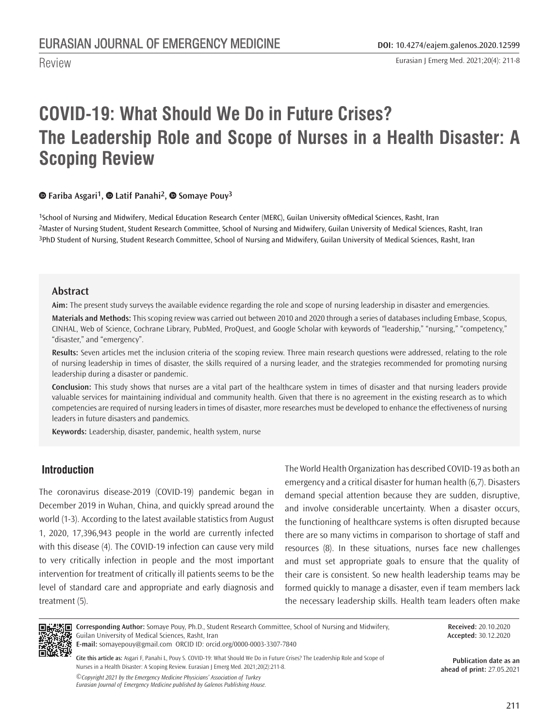Eurasian J Emerg Med. 2021;20(4): 211-8

# **COVID-19: What Should We Do in Future Crises? The Leadership Role and Scope of Nurses in a Health Disaster: A Scoping Review**

#### **[F](https://orcid.org/0000-0002-2597-6531)ariba Asgari1,Latif Panahi2,Somaye Pouy3**

1School of Nursing and Midwifery, Medical Education Research Center (MERC), Guilan University of Medical Sciences, Rasht, Iran 2Master of Nursing Student, Student Research Committee, School of Nursing and Midwifery, Guilan University of Medical Sciences, Rasht, Iran 3PhD Student of Nursing, Student Research Committee, School of Nursing and Midwifery, Guilan University of Medical Sciences, Rasht, Iran

#### **Abstract**

Review

**Aim:** The present study surveys the available evidence regarding the role and scope of nursing leadership in disaster and emergencies.

**Materials and Methods:** This scoping review was carried out between 2010 and 2020 through a series of databases including Embase, Scopus, CINHAL, Web of Science, Cochrane Library, PubMed, ProQuest, and Google Scholar with keywords of "leadership," "nursing," "competency," "disaster," and "emergency".

**Results:** Seven articles met the inclusion criteria of the scoping review. Three main research questions were addressed, relating to the role of nursing leadership in times of disaster, the skills required of a nursing leader, and the strategies recommended for promoting nursing leadership during a disaster or pandemic.

**Conclusion:** This study shows that nurses are a vital part of the healthcare system in times of disaster and that nursing leaders provide valuable services for maintaining individual and community health. Given that there is no agreement in the existing research as to which competencies are required of nursing leaders in times of disaster, more researches must be developed to enhance the effectiveness of nursing leaders in future disasters and pandemics.

**Keywords:** Leadership, disaster, pandemic, health system, nurse

# **Introduction**

The coronavirus disease-2019 (COVID-19) pandemic began in December 2019 in Wuhan, China, and quickly spread around the world (1-3). According to the latest available statistics from August 1, 2020, 17,396,943 people in the world are currently infected with this disease (4). The COVID-19 infection can cause very mild to very critically infection in people and the most important intervention for treatment of critically ill patients seems to be the level of standard care and appropriate and early diagnosis and treatment (5).

The World Health Organization has described COVID-19 as both an emergency and a critical disaster for human health (6,7). Disasters demand special attention because they are sudden, disruptive, and involve considerable uncertainty. When a disaster occurs, the functioning of healthcare systems is often disrupted because there are so many victims in comparison to shortage of staff and resources (8). In these situations, nurses face new challenges and must set appropriate goals to ensure that the quality of their care is consistent. So new health leadership teams may be formed quickly to manage a disaster, even if team members lack the necessary leadership skills. Health team leaders often make



**Corresponding Author:** Somaye Pouy, Ph.D., Student Research Committee, School of Nursing and Midwifery, Guilan University of Medical Sciences, Rasht, Iran

**E-mail:** somayepouy@gmail.com ORCID ID: orcid.org/0000-0003-3307-7840

*©Copyright 2021 by the Emergency Medicine Physicians' Association of Turkey Eurasian Journal of Emergency Medicine published by Galenos Publishing House.* **Cite this article as:** Asgari F, Panahi L, Pouy S. COVID-19: What Should We Do in Future Crises? The Leadership Role and Scope of Nurses in a Health Disaster: A Scoping Review. Eurasian J Emerg Med. 2021;20(2):211-8.

**Received:** 20.10.2020 **Accepted:** 30.12.2020

**Publication date as an ahead of print:** 27.05.2021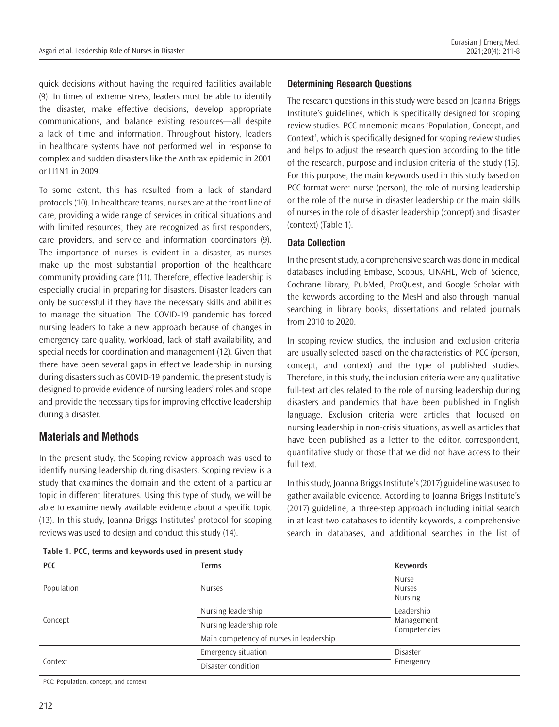quick decisions without having the required facilities available (9). In times of extreme stress, leaders must be able to identify the disaster, make effective decisions, develop appropriate communications, and balance existing resources—all despite a lack of time and information. Throughout history, leaders in healthcare systems have not performed well in response to complex and sudden disasters like the Anthrax epidemic in 2001 or H1N1 in 2009.

To some extent, this has resulted from a lack of standard protocols (10). In healthcare teams, nurses are at the front line of care, providing a wide range of services in critical situations and with limited resources; they are recognized as first responders, care providers, and service and information coordinators (9). The importance of nurses is evident in a disaster, as nurses make up the most substantial proportion of the healthcare community providing care (11). Therefore, effective leadership is especially crucial in preparing for disasters. Disaster leaders can only be successful if they have the necessary skills and abilities to manage the situation. The COVID-19 pandemic has forced nursing leaders to take a new approach because of changes in emergency care quality, workload, lack of staff availability, and special needs for coordination and management (12). Given that there have been several gaps in effective leadership in nursing during disasters such as COVID-19 pandemic, the present study is designed to provide evidence of nursing leaders' roles and scope and provide the necessary tips for improving effective leadership during a disaster.

# **Materials and Methods**

In the present study, the Scoping review approach was used to identify nursing leadership during disasters. Scoping review is a study that examines the domain and the extent of a particular topic in different literatures. Using this type of study, we will be able to examine newly available evidence about a specific topic (13). In this study, Joanna Briggs Institutes' protocol for scoping reviews was used to design and conduct this study (14).

## **Determining Research Questions**

The research questions in this study were based on Joanna Briggs Institute's guidelines, which is specifically designed for scoping review studies. PCC mnemonic means 'Population, Concept, and Context', which is specifically designed for scoping review studies and helps to adjust the research question according to the title of the research, purpose and inclusion criteria of the study (15). For this purpose, the main keywords used in this study based on PCC format were: nurse (person), the role of nursing leadership or the role of the nurse in disaster leadership or the main skills of nurses in the role of disaster leadership (concept) and disaster (context) (Table 1).

#### **Data Collection**

In the present study, a comprehensive search was done in medical databases including Embase, Scopus, CINAHL, Web of Science, Cochrane library, PubMed, ProQuest, and Google Scholar with the keywords according to the MesH and also through manual searching in library books, dissertations and related journals from 2010 to 2020.

In scoping review studies, the inclusion and exclusion criteria are usually selected based on the characteristics of PCC (person, concept, and context) and the type of published studies. Therefore, in this study, the inclusion criteria were any qualitative full-text articles related to the role of nursing leadership during disasters and pandemics that have been published in English language. Exclusion criteria were articles that focused on nursing leadership in non-crisis situations, as well as articles that have been published as a letter to the editor, correspondent, quantitative study or those that we did not have access to their full text.

In this study, Joanna Briggs Institute's (2017) guideline was used to gather available evidence. According to Joanna Briggs Institute's (2017) guideline, a three-step approach including initial search in at least two databases to identify keywords, a comprehensive search in databases, and additional searches in the list of

| Table 1. PCC, terms and keywords used in present study |                                         |                                          |  |  |  |  |  |
|--------------------------------------------------------|-----------------------------------------|------------------------------------------|--|--|--|--|--|
| <b>PCC</b>                                             | <b>Terms</b>                            | Keywords                                 |  |  |  |  |  |
| Population                                             | <b>Nurses</b>                           | Nurse<br><b>Nurses</b><br><b>Nursing</b> |  |  |  |  |  |
|                                                        | Nursing leadership                      | Leadership<br>Management<br>Competencies |  |  |  |  |  |
| Concept                                                | Nursing leadership role                 |                                          |  |  |  |  |  |
|                                                        | Main competency of nurses in leadership |                                          |  |  |  |  |  |
|                                                        | Emergency situation                     | Disaster                                 |  |  |  |  |  |
| Context                                                | Disaster condition                      | Emergency                                |  |  |  |  |  |
| PCC: Population, concept, and context                  |                                         |                                          |  |  |  |  |  |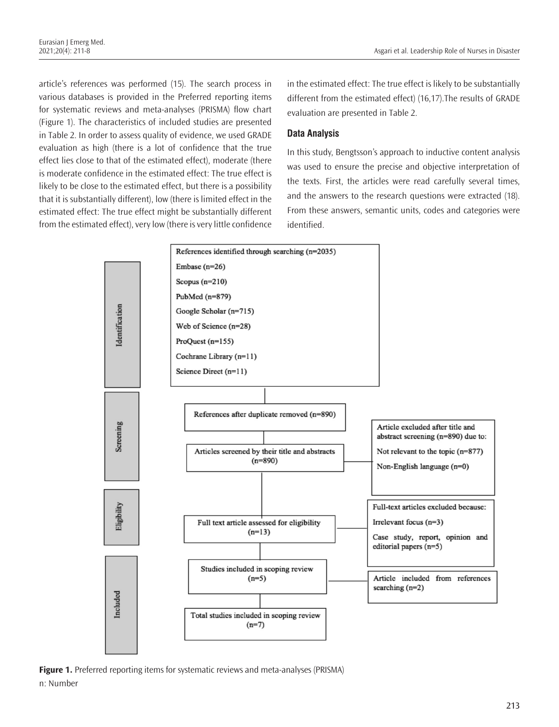article's references was performed (15). The search process in various databases is provided in the Preferred reporting items for systematic reviews and meta-analyses (PRISMA) flow chart (Figure 1). The characteristics of included studies are presented in Table 2. In order to assess quality of evidence, we used GRADE evaluation as high (there is a lot of confidence that the true effect lies close to that of the estimated effect), moderate (there is moderate confidence in the estimated effect: The true effect is likely to be close to the estimated effect, but there is a possibility that it is substantially different), low (there is limited effect in the estimated effect: The true effect might be substantially different from the estimated effect), very low (there is very little confidence

in the estimated effect: The true effect is likely to be substantially different from the estimated effect) (16,17).The results of GRADE evaluation are presented in Table 2.

## **Data Analysis**

In this study, Bengtsson's approach to inductive content analysis was used to ensure the precise and objective interpretation of the texts. First, the articles were read carefully several times, and the answers to the research questions were extracted (18). From these answers, semantic units, codes and categories were identified.



Figure 1. Preferred reporting items for systematic reviews and meta-analyses (PRISMA) n: Number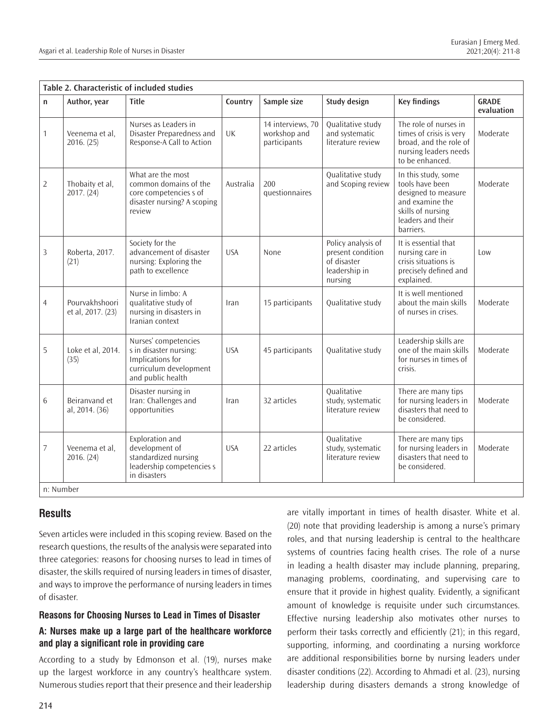| n              | Author, year                        | <b>Title</b>                                                                                                      | Country    | Sample size                                       | <b>Study design</b>                                                                | <b>Key findings</b>                                                                                                                     | <b>GRADE</b><br>evaluation |
|----------------|-------------------------------------|-------------------------------------------------------------------------------------------------------------------|------------|---------------------------------------------------|------------------------------------------------------------------------------------|-----------------------------------------------------------------------------------------------------------------------------------------|----------------------------|
| 1              | Veenema et al.<br>2016. (25)        | Nurses as Leaders in<br>Disaster Preparedness and<br>Response-A Call to Action                                    | UK         | 14 interviews, 70<br>workshop and<br>participants | Qualitative study<br>and systematic<br>literature review                           | The role of nurses in<br>times of crisis is very<br>broad, and the role of<br>nursing leaders needs<br>to be enhanced.                  | Moderate                   |
| 2              | Thobaity et al,<br>2017. (24)       | What are the most<br>common domains of the<br>core competencies s of<br>disaster nursing? A scoping<br>review     | Australia  | 200<br>questionnaires                             | Qualitative study<br>and Scoping review                                            | In this study, some<br>tools have been<br>designed to measure<br>and examine the<br>skills of nursing<br>leaders and their<br>barriers. | Moderate                   |
| 3              | Roberta, 2017.<br>(21)              | Society for the<br>advancement of disaster<br>nursing: Exploring the<br>path to excellence                        | <b>USA</b> | None                                              | Policy analysis of<br>present condition<br>of disaster<br>leadership in<br>nursing | It is essential that<br>nursing care in<br>crisis situations is<br>precisely defined and<br>explained.                                  | Low                        |
| $\overline{4}$ | Pourvakhshoori<br>et al, 2017. (23) | Nurse in limbo: A<br>qualitative study of<br>nursing in disasters in<br>Iranian context                           | Iran       | 15 participants                                   | Qualitative study                                                                  | It is well mentioned<br>about the main skills<br>of nurses in crises.                                                                   | Moderate                   |
| 5              | Loke et al, 2014.<br>(35)           | Nurses' competencies<br>s in disaster nursing:<br>Implications for<br>curriculum development<br>and public health | <b>USA</b> | 45 participants                                   | Qualitative study                                                                  | Leadership skills are<br>one of the main skills<br>for nurses in times of<br>crisis.                                                    | Moderate                   |
| 6              | Beiranvand et<br>al, 2014. (36)     | Disaster nursing in<br>Iran: Challenges and<br>opportunities                                                      | Iran       | 32 articles                                       | Qualitative<br>study, systematic<br>literature review                              | There are many tips<br>for nursing leaders in<br>disasters that need to<br>be considered.                                               | Moderate                   |
| 7              | Veenema et al.<br>2016. (24)        | Exploration and<br>development of<br>standardized nursing<br>leadership competencies s<br>in disasters            | <b>USA</b> | 22 articles                                       | Qualitative<br>study, systematic<br>literature review                              | There are many tips<br>for nursing leaders in<br>disasters that need to<br>be considered.                                               | Moderate                   |

# **Results**

Seven articles were included in this scoping review. Based on the research questions, the results of the analysis were separated into three categories: reasons for choosing nurses to lead in times of disaster, the skills required of nursing leaders in times of disaster, and ways to improve the performance of nursing leaders in times of disaster.

#### **Reasons for Choosing Nurses to Lead in Times of Disaster**

# **A: Nurses make up a large part of the healthcare workforce and play a significant role in providing care**

According to a study by Edmonson et al. (19), nurses make up the largest workforce in any country's healthcare system. Numerous studies report that their presence and their leadership are vitally important in times of health disaster. White et al. (20) note that providing leadership is among a nurse's primary roles, and that nursing leadership is central to the healthcare systems of countries facing health crises. The role of a nurse in leading a health disaster may include planning, preparing, managing problems, coordinating, and supervising care to ensure that it provide in highest quality. Evidently, a significant amount of knowledge is requisite under such circumstances. Effective nursing leadership also motivates other nurses to perform their tasks correctly and efficiently (21); in this regard, supporting, informing, and coordinating a nursing workforce are additional responsibilities borne by nursing leaders under disaster conditions (22). According to Ahmadi et al. (23), nursing leadership during disasters demands a strong knowledge of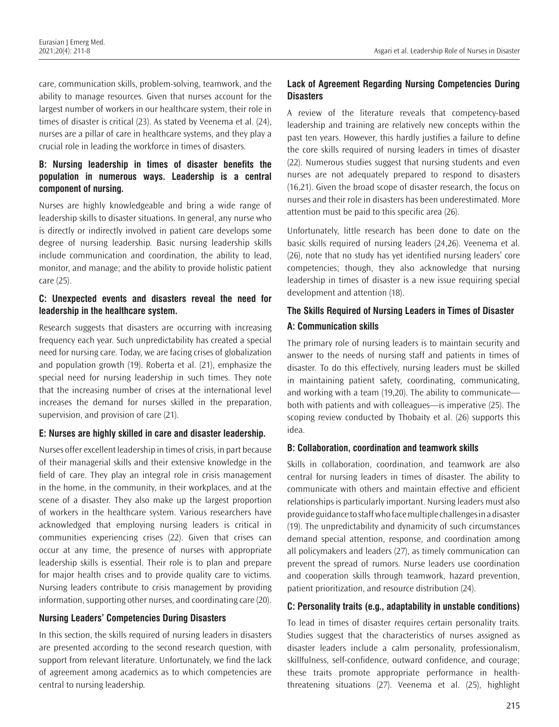care, communication skills, problem-solving, teamwork, and the ability to manage resources. Given that nurses account for the largest number of workers in our healthcare system, their role in times of disaster is critical (23). As stated by Veenema et al. (24), nurses are a pillar of care in healthcare systems, and they play a crucial role in leading the workforce in times of disasters.

### **B: Nursing leadership in times of disaster benefits the population in numerous ways. Leadership is a central component of nursing.**

Nurses are highly knowledgeable and bring a wide range of leadership skills to disaster situations. In general, any nurse who is directly or indirectly involved in patient care develops some degree of nursing leadership. Basic nursing leadership skills include communication and coordination, the ability to lead, monitor, and manage; and the ability to provide holistic patient care (25).

### **C: Unexpected events and disasters reveal the need for leadership in the healthcare system.**

Research suggests that disasters are occurring with increasing frequency each year. Such unpredictability has created a special need for nursing care. Today, we are facing crises of globalization and population growth (19). Roberta et al. (21), emphasize the special need for nursing leadership in such times. They note that the increasing number of crises at the international level increases the demand for nurses skilled in the preparation, supervision, and provision of care (21).

#### **E: Nurses are highly skilled in care and disaster leadership.**

Nurses offer excellent leadership in times of crisis, in part because of their managerial skills and their extensive knowledge in the field of care. They play an integral role in crisis management in the home, in the community, in their workplaces, and at the scene of a disaster. They also make up the largest proportion of workers in the healthcare system. Various researchers have acknowledged that employing nursing leaders is critical in communities experiencing crises (22). Given that crises can occur at any time, the presence of nurses with appropriate leadership skills is essential. Their role is to plan and prepare for major health crises and to provide quality care to victims. Nursing leaders contribute to crisis management by providing information, supporting other nurses, and coordinating care (20).

#### **Nursing Leaders' Competencies During Disasters**

In this section, the skills required of nursing leaders in disasters are presented according to the second research question, with support from relevant literature. Unfortunately, we find the lack of agreement among academics as to which competencies are central to nursing leadership.

## **Lack of Agreement Regarding Nursing Competencies During Disasters**

A review of the literature reveals that competency-based leadership and training are relatively new concepts within the past ten years. However, this hardly justifies a failure to define the core skills required of nursing leaders in times of disaster (22). Numerous studies suggest that nursing students and even nurses are not adequately prepared to respond to disasters (16,21). Given the broad scope of disaster research, the focus on nurses and their role in disasters has been underestimated. More attention must be paid to this specific area (26).

Unfortunately, little research has been done to date on the basic skills required of nursing leaders (24,26). Veenema et al. (26), note that no study has yet identified nursing leaders' core competencies; though, they also acknowledge that nursing leadership in times of disaster is a new issue requiring special development and attention (18).

# **The Skills Required of Nursing Leaders in Times of Disaster A: Communication skills**

The primary role of nursing leaders is to maintain security and answer to the needs of nursing staff and patients in times of disaster. To do this effectively, nursing leaders must be skilled in maintaining patient safety, coordinating, communicating, and working with a team (19,20). The ability to communicate both with patients and with colleagues—is imperative (25). The scoping review conducted by Thobaity et al. (26) supports this idea.

#### **B: Collaboration, coordination and teamwork skills**

Skills in collaboration, coordination, and teamwork are also central for nursing leaders in times of disaster. The ability to communicate with others and maintain effective and efficient relationships is particularly important. Nursing leaders must also provide guidance to staff who face multiple challenges in a disaster (19). The unpredictability and dynamicity of such circumstances demand special attention, response, and coordination among all policymakers and leaders (27), as timely communication can prevent the spread of rumors. Nurse leaders use coordination and cooperation skills through teamwork, hazard prevention, patient prioritization, and resource distribution (24).

#### **C: Personality traits (e.g., adaptability in unstable conditions)**

To lead in times of disaster requires certain personality traits. Studies suggest that the characteristics of nurses assigned as disaster leaders include a calm personality, professionalism, skillfulness, self-confidence, outward confidence, and courage; these traits promote appropriate performance in healththreatening situations (27). Veenema et al. (25), highlight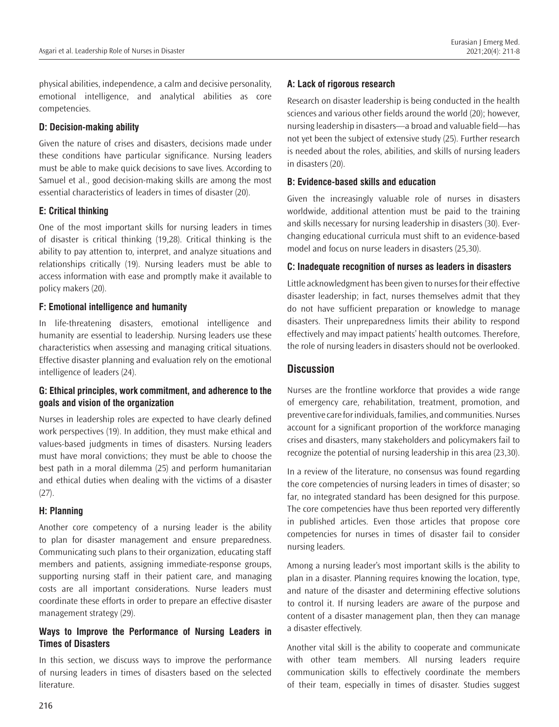physical abilities, independence, a calm and decisive personality, emotional intelligence, and analytical abilities as core competencies.

#### **D: Decision-making ability**

Given the nature of crises and disasters, decisions made under these conditions have particular significance. Nursing leaders must be able to make quick decisions to save lives. According to Samuel et al., good decision-making skills are among the most essential characteristics of leaders in times of disaster (20).

#### **E: Critical thinking**

One of the most important skills for nursing leaders in times of disaster is critical thinking (19,28). Critical thinking is the ability to pay attention to, interpret, and analyze situations and relationships critically (19). Nursing leaders must be able to access information with ease and promptly make it available to policy makers (20).

#### **F: Emotional intelligence and humanity**

In life-threatening disasters, emotional intelligence and humanity are essential to leadership. Nursing leaders use these characteristics when assessing and managing critical situations. Effective disaster planning and evaluation rely on the emotional intelligence of leaders (24).

## **G: Ethical principles, work commitment, and adherence to the goals and vision of the organization**

Nurses in leadership roles are expected to have clearly defined work perspectives (19). In addition, they must make ethical and values-based judgments in times of disasters. Nursing leaders must have moral convictions; they must be able to choose the best path in a moral dilemma (25) and perform humanitarian and ethical duties when dealing with the victims of a disaster (27).

# **H: Planning**

Another core competency of a nursing leader is the ability to plan for disaster management and ensure preparedness. Communicating such plans to their organization, educating staff members and patients, assigning immediate-response groups, supporting nursing staff in their patient care, and managing costs are all important considerations. Nurse leaders must coordinate these efforts in order to prepare an effective disaster management strategy (29).

## **Ways to Improve the Performance of Nursing Leaders in Times of Disasters**

In this section, we discuss ways to improve the performance of nursing leaders in times of disasters based on the selected literature.

## **A: Lack of rigorous research**

Research on disaster leadership is being conducted in the health sciences and various other fields around the world (20); however, nursing leadership in disasters—a broad and valuable field—has not yet been the subject of extensive study (25). Further research is needed about the roles, abilities, and skills of nursing leaders in disasters (20).

#### **B: Evidence-based skills and education**

Given the increasingly valuable role of nurses in disasters worldwide, additional attention must be paid to the training and skills necessary for nursing leadership in disasters (30). Everchanging educational curricula must shift to an evidence-based model and focus on nurse leaders in disasters (25,30).

## **C: Inadequate recognition of nurses as leaders in disasters**

Little acknowledgment has been given to nurses for their effective disaster leadership; in fact, nurses themselves admit that they do not have sufficient preparation or knowledge to manage disasters. Their unpreparedness limits their ability to respond effectively and may impact patients' health outcomes. Therefore, the role of nursing leaders in disasters should not be overlooked.

# **Discussion**

Nurses are the frontline workforce that provides a wide range of emergency care, rehabilitation, treatment, promotion, and preventive care for individuals, families, and communities. Nurses account for a significant proportion of the workforce managing crises and disasters, many stakeholders and policymakers fail to recognize the potential of nursing leadership in this area (23,30).

In a review of the literature, no consensus was found regarding the core competencies of nursing leaders in times of disaster; so far, no integrated standard has been designed for this purpose. The core competencies have thus been reported very differently in published articles. Even those articles that propose core competencies for nurses in times of disaster fail to consider nursing leaders.

Among a nursing leader's most important skills is the ability to plan in a disaster. Planning requires knowing the location, type, and nature of the disaster and determining effective solutions to control it. If nursing leaders are aware of the purpose and content of a disaster management plan, then they can manage a disaster effectively.

Another vital skill is the ability to cooperate and communicate with other team members. All nursing leaders require communication skills to effectively coordinate the members of their team, especially in times of disaster. Studies suggest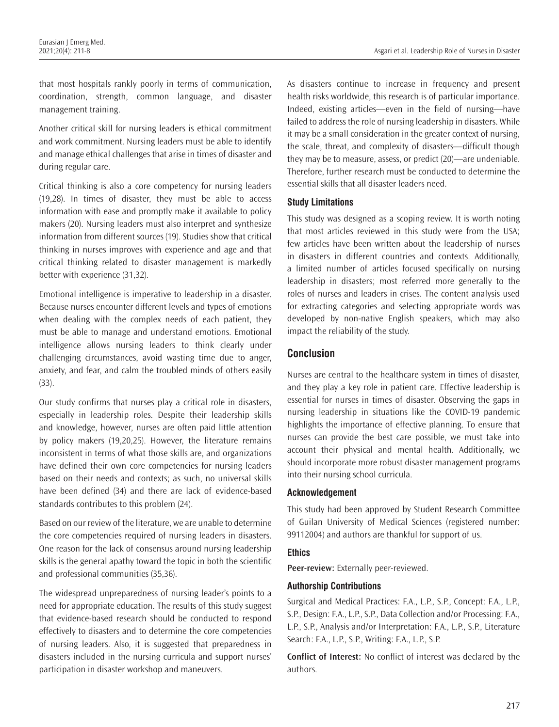that most hospitals rankly poorly in terms of communication, coordination, strength, common language, and disaster management training.

Another critical skill for nursing leaders is ethical commitment and work commitment. Nursing leaders must be able to identify and manage ethical challenges that arise in times of disaster and during regular care.

Critical thinking is also a core competency for nursing leaders (19,28). In times of disaster, they must be able to access information with ease and promptly make it available to policy makers (20). Nursing leaders must also interpret and synthesize information from different sources (19). Studies show that critical thinking in nurses improves with experience and age and that critical thinking related to disaster management is markedly better with experience (31,32).

Emotional intelligence is imperative to leadership in a disaster. Because nurses encounter different levels and types of emotions when dealing with the complex needs of each patient, they must be able to manage and understand emotions. Emotional intelligence allows nursing leaders to think clearly under challenging circumstances, avoid wasting time due to anger, anxiety, and fear, and calm the troubled minds of others easily (33).

Our study confirms that nurses play a critical role in disasters, especially in leadership roles. Despite their leadership skills and knowledge, however, nurses are often paid little attention by policy makers (19,20,25). However, the literature remains inconsistent in terms of what those skills are, and organizations have defined their own core competencies for nursing leaders based on their needs and contexts; as such, no universal skills have been defined (34) and there are lack of evidence-based standards contributes to this problem (24).

Based on our review of the literature, we are unable to determine the core competencies required of nursing leaders in disasters. One reason for the lack of consensus around nursing leadership skills is the general apathy toward the topic in both the scientific and professional communities (35,36).

The widespread unpreparedness of nursing leader's points to a need for appropriate education. The results of this study suggest that evidence-based research should be conducted to respond effectively to disasters and to determine the core competencies of nursing leaders. Also, it is suggested that preparedness in disasters included in the nursing curricula and support nurses' participation in disaster workshop and maneuvers.

As disasters continue to increase in frequency and present health risks worldwide, this research is of particular importance. Indeed, existing articles—even in the field of nursing—have failed to address the role of nursing leadership in disasters. While it may be a small consideration in the greater context of nursing, the scale, threat, and complexity of disasters—difficult though they may be to measure, assess, or predict (20)—are undeniable. Therefore, further research must be conducted to determine the essential skills that all disaster leaders need.

#### **Study Limitations**

This study was designed as a scoping review. It is worth noting that most articles reviewed in this study were from the USA; few articles have been written about the leadership of nurses in disasters in different countries and contexts. Additionally, a limited number of articles focused specifically on nursing leadership in disasters; most referred more generally to the roles of nurses and leaders in crises. The content analysis used for extracting categories and selecting appropriate words was developed by non-native English speakers, which may also impact the reliability of the study.

#### **Conclusion**

Nurses are central to the healthcare system in times of disaster, and they play a key role in patient care. Effective leadership is essential for nurses in times of disaster. Observing the gaps in nursing leadership in situations like the COVID-19 pandemic highlights the importance of effective planning. To ensure that nurses can provide the best care possible, we must take into account their physical and mental health. Additionally, we should incorporate more robust disaster management programs into their nursing school curricula.

#### **Acknowledgement**

This study had been approved by Student Research Committee of Guilan University of Medical Sciences (registered number: 99112004) and authors are thankful for support of us.

#### **Ethics**

**Peer-review:** Externally peer-reviewed.

#### **Authorship Contributions**

Surgical and Medical Practices: F.A., L.P., S.P., Concept: F.A., L.P., S.P., Design: F.A., L.P., S.P., Data Collection and/or Processing: F.A., L.P., S.P., Analysis and/or Interpretation: F.A., L.P., S.P., Literature Search: F.A., L.P., S.P., Writing: F.A., L.P., S.P.

**Conflict of Interest:** No conflict of interest was declared by the authors.